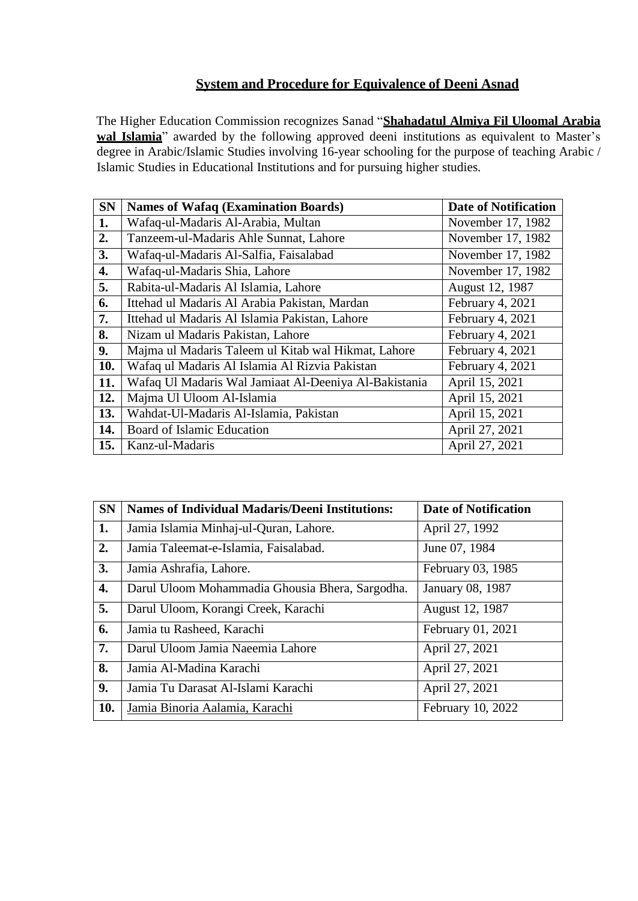## **System and Procedure for Equivalence of Deeni Asnad**

The Higher Education Commission recognizes Sanad "**Shahadatul Almiya Fil Uloomal Arabia** wal **Islamia**" awarded by the following approved deeni institutions as equivalent to Master's degree in Arabic/Islamic Studies involving 16-year schooling for the purpose of teaching Arabic / Islamic Studies in Educational Institutions and for pursuing higher studies.

| <b>SN</b> | <b>Names of Wafaq (Examination Boards)</b>            | <b>Date of Notification</b> |
|-----------|-------------------------------------------------------|-----------------------------|
| 1.        | Wafaq-ul-Madaris Al-Arabia, Multan                    | November 17, 1982           |
| 2.        | Tanzeem-ul-Madaris Ahle Sunnat, Lahore                | November 17, 1982           |
| 3.        | Wafaq-ul-Madaris Al-Salfia, Faisalabad                | November 17, 1982           |
| 4.        | Wafaq-ul-Madaris Shia, Lahore                         | November 17, 1982           |
| 5.        | Rabita-ul-Madaris Al Islamia, Lahore                  | August 12, 1987             |
| 6.        | Ittehad ul Madaris Al Arabia Pakistan, Mardan         | February 4, 2021            |
| 7.        | Ittehad ul Madaris Al Islamia Pakistan, Lahore        | February 4, 2021            |
| 8.        | Nizam ul Madaris Pakistan, Lahore                     | February 4, 2021            |
| 9.        | Majma ul Madaris Taleem ul Kitab wal Hikmat, Lahore   | February 4, 2021            |
| 10.       | Wafaq ul Madaris Al Islamia Al Rizvia Pakistan        | February 4, 2021            |
| 11.       | Wafaq Ul Madaris Wal Jamiaat Al-Deeniya Al-Bakistania | April 15, 2021              |
| 12.       | Majma Ul Uloom Al-Islamia                             | April 15, 2021              |
| 13.       | Wahdat-Ul-Madaris Al-Islamia, Pakistan                | April 15, 2021              |
| 14.       | Board of Islamic Education                            | April 27, 2021              |
| 15.       | Kanz-ul-Madaris                                       | April 27, 2021              |

| <b>SN</b> | <b>Names of Individual Madaris/Deeni Institutions:</b> | <b>Date of Notification</b> |
|-----------|--------------------------------------------------------|-----------------------------|
| 1.        | Jamia Islamia Minhaj-ul-Quran, Lahore.                 | April 27, 1992              |
| 2.        | Jamia Taleemat-e-Islamia, Faisalabad.                  | June 07, 1984               |
| 3.        | Jamia Ashrafia, Lahore.                                | February 03, 1985           |
| 4.        | Darul Uloom Mohammadia Ghousia Bhera, Sargodha.        | January 08, 1987            |
| 5.        | Darul Uloom, Korangi Creek, Karachi                    | August 12, 1987             |
| 6.        | Jamia tu Rasheed, Karachi                              | February 01, 2021           |
| 7.        | Darul Uloom Jamia Naeemia Lahore                       | April 27, 2021              |
| 8.        | Jamia Al-Madina Karachi                                | April 27, 2021              |
| 9.        | Jamia Tu Darasat Al-Islami Karachi                     | April 27, 2021              |
| 10.       | Jamia Binoria Aalamia, Karachi                         | February 10, 2022           |